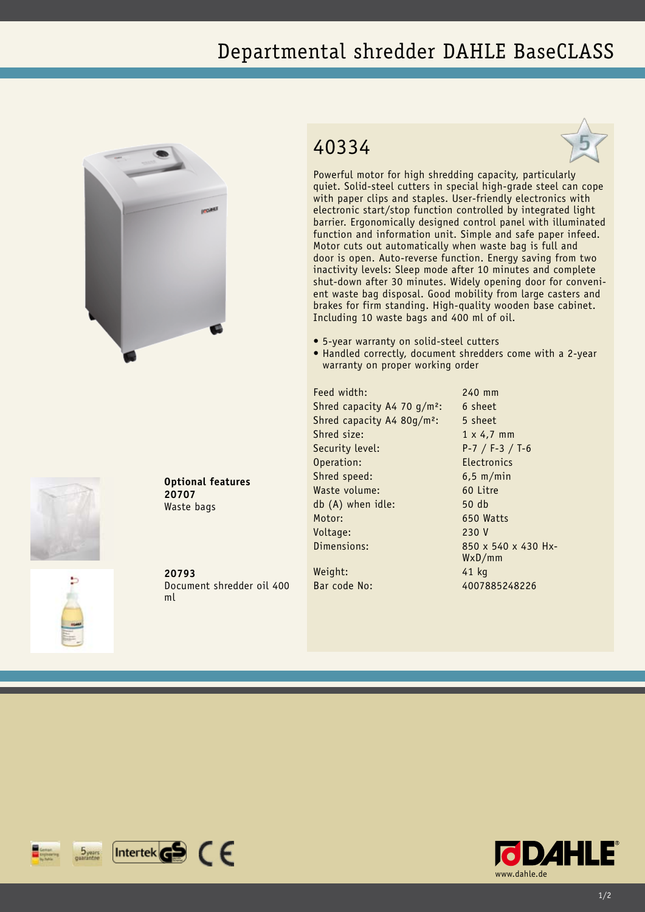## Departmental shredder DAHLE BaseCLASS





**Optional features 20707** Waste bags

**20793** Document shredder oil 400 ml

## 40334



Powerful motor for high shredding capacity, particularly quiet. Solid-steel cutters in special high-grade steel can cope with paper clips and staples. User-friendly electronics with electronic start/stop function controlled by integrated light barrier. Ergonomically designed control panel with illuminated function and information unit. Simple and safe paper infeed. Motor cuts out automatically when waste bag is full and door is open. Auto-reverse function. Energy saving from two inactivity levels: Sleep mode after 10 minutes and complete shut-down after 30 minutes. Widely opening door for convenient waste bag disposal. Good mobility from large casters and brakes for firm standing. High-quality wooden base cabinet. Including 10 waste bags and 400 ml of oil.

- • 5-year warranty on solid-steel cutters
- Handled correctly, document shredders come with a 2-year warranty on proper working order

Feed width: 240 mm Shred capacity A4 70  $q/m^2$ : 6 sheet Shred capacity A4 80g/m<sup>2</sup>: 5 sheet Shred size: 1 x 4.7 mm Security level: P-7 / F-3 / T-6 Operation: Electronics Shred speed: 6,5 m/min Waste volume: 60 Litre db (A) when idle: 50 db Motor: 650 Watts Voltage: 230 V Dimensions: 850 x 540 x 430 Hx-Weight: 41 kg

WxD/mm Bar code No: 4007885248226